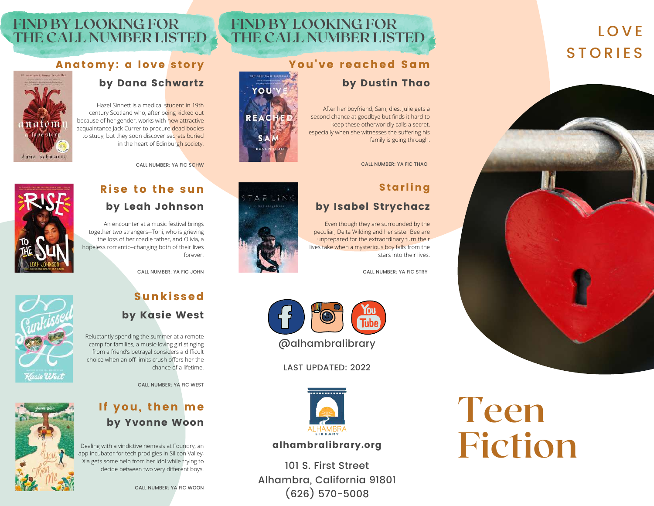# L O V E **STORIES**



# **FIND BY LOOKING FOR THE CALL NUMBER LISTED**

# You've reached Sam

### by Dustin Thao

After her boyfriend, Sam, dies, Julie gets a second chance at goodbye but finds it hard to keep these otherworldly calls a secret, especially when she witnesses the suffering his family is going through.

CALL NUMBER: YA FIC THAO

# Starling

# by Isabel [Strychacz](https://ts360.baker-taylor.com/_layouts/CommerceServer/SearchResults.aspx?ngresponsiblepartyprimary=Strychacz%2c%20Isabel&rc=1)

Even though they are surrounded by the peculiar, Delta Wilding and her sister Bee are unprepared for the extraordinary turn their lives take when a mysterious boy falls from the stars into their lives.

CALL NUMBER: YA FIC STRY











# Rise to the sun by Leah Johnson

by Dana Schwartz

Hazel Sinnett is a medical student in 19th century Scotland who, after being kicked out because of her gender, works with new attractive acquaintance Jack Currer to procure dead bodies to study, but they soon discover secrets buried

in the heart of Edinburgh society.

CALL NUMBER: YA FIC SCHW

An encounter at a music festival brings together two strangers--Toni, who is grieving the loss of her roadie father, and Olivia, a hopeless romantic--changing both of their lives forever.





Sana schwartz

**FIND BY LOOKING FOR**

**THE CALL NUMBER LISTED**

Anatomy: a love story



# Sunkissed by Kasie West

Reluctantly spending the summer at a remote camp for families, a music-loving girl stinging from a friend's betrayal considers a difficult choice when an off-limits crush offers her the chance of a lifetime.

CALL NUMBER: YA FIC WEST



# If you, then me by Yvonne Woon

Dealing with a vindictive nemesis at Foundry, an app incubator for tech prodigies in Silicon Valley, Xia gets some help from her idol while trying to

CALL NUMBER: YA FIC WOON



LAST UPDATED: 2022



### alhambralibrary.org

s some neip trom ner idol while trying to<br>decide between two very different boys. 101 S. First Street Alhambra, California 91801 (626) 570-5008

# **Teen Fiction**